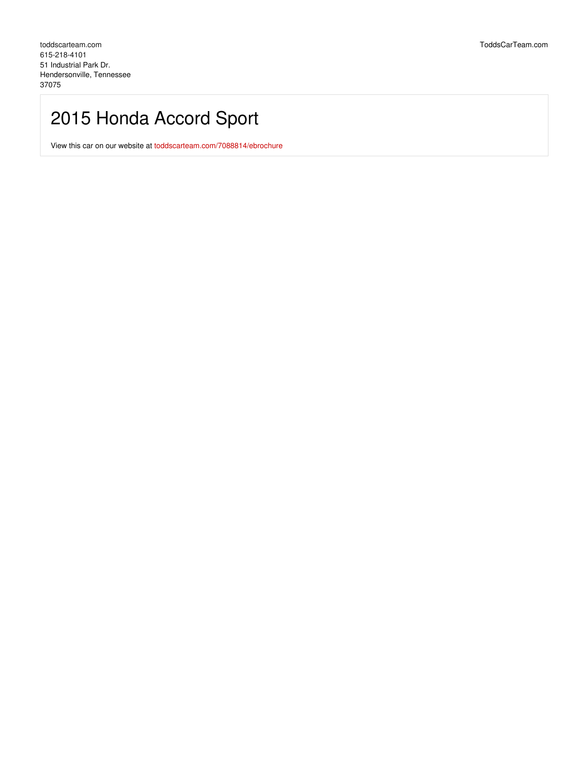# 2015 Honda Accord Sport

View this car on our website at [toddscarteam.com/7088814/ebrochure](https://toddscarteam.com/vehicle/7088814/2015-honda-accord-sport-hendersonville-tennessee-37075/7088814/ebrochure)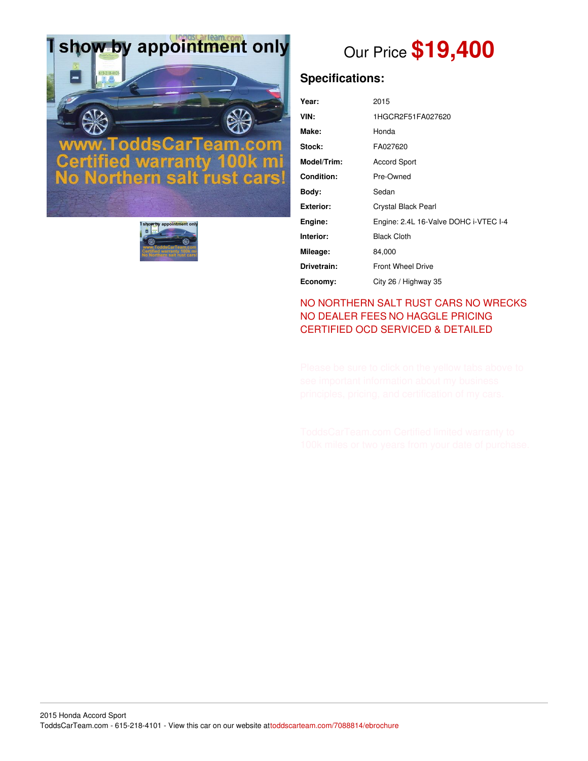# I show by appointment only

# odd



# Our Price **\$19,400**

## **Specifications:**

| Year:             | 2015                                  |
|-------------------|---------------------------------------|
| VIN:              | 1HGCR2F51FA027620                     |
| Make:             | Honda                                 |
| Stock:            | FA027620                              |
| Model/Trim:       | <b>Accord Sport</b>                   |
| <b>Condition:</b> | Pre-Owned                             |
| Body:             | Sedan                                 |
| <b>Exterior:</b>  | Crystal Black Pearl                   |
| Engine:           | Engine: 2.4L 16-Valve DOHC i-VTEC I-4 |
| Interior:         | <b>Black Cloth</b>                    |
| Mileage:          | 84,000                                |
| Drivetrain:       | <b>Front Wheel Drive</b>              |
| Economy:          | City 26 / Highway 35                  |

### NO [NORTHERN](file:///no-northern-salt-exposed-or-wrecks/) SALT RUST CARS NO WRECKS NO [DEALER](file:///zero-fees/) FEES NO [HAGGLE](file:///no-haggle/) PRICING [CERTIFIED](https://www.toddscarteam.com/toddscarteam.com-ocd-detail/) OCD SERVICED & DETAILED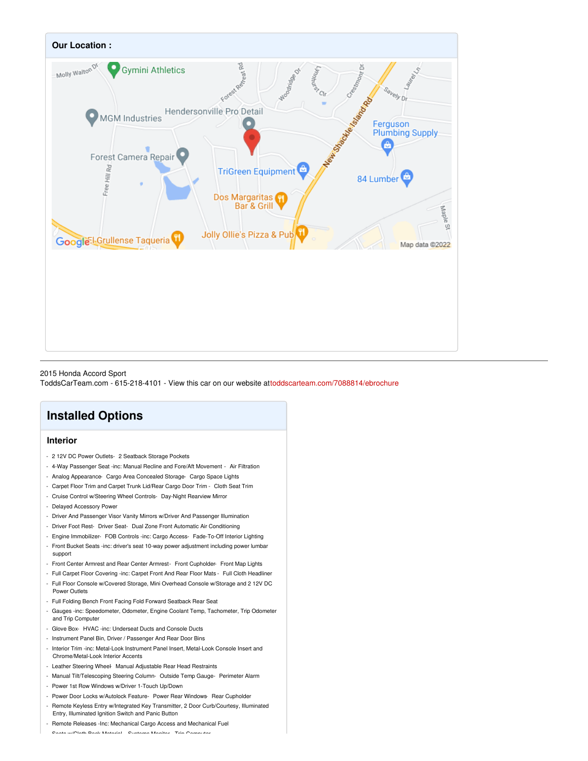

#### 2015 Honda Accord Sport

ToddsCarTeam.com - 615-218-4101 - View this car on our website a[ttoddscarteam.com/7088814/ebrochure](https://toddscarteam.com/vehicle/7088814/2015-honda-accord-sport-hendersonville-tennessee-37075/7088814/ebrochure)

## **Installed Options**

#### **Interior**

- 2 12V DC Power Outlets- 2 Seatback Storage Pockets
- 4-Way Passenger Seat -inc: Manual Recline and Fore/Aft Movement Air Filtration
- Analog Appearance- Cargo Area Concealed Storage- Cargo Space Lights
- Carpet Floor Trim and Carpet Trunk Lid/Rear Cargo Door Trim Cloth Seat Trim
- Cruise Control w/Steering Wheel Controls- Day-Night Rearview Mirror
- Delayed Accessory Power
- Driver And Passenger Visor Vanity Mirrors w/Driver And Passenger Illumination
- Driver Foot Rest- Driver Seat- Dual Zone Front Automatic Air Conditioning
- Engine Immobilizer- FOB Controls -inc: Cargo Access- Fade-To-Off Interior Lighting
- Front Bucket Seats -inc: driver's seat 10-way power adjustment including power lumbar support
- Front Center Armrest and Rear Center Armrest- Front Cupholder- Front Map Lights
- Full Carpet Floor Covering -inc: Carpet Front And Rear Floor Mats Full Cloth Headliner - Full Floor Console w/Covered Storage, Mini Overhead Console w/Storage and 2 12V DC
- Power Outlets
- Full Folding Bench Front Facing Fold Forward Seatback Rear Seat
- Gauges -inc: Speedometer, Odometer, Engine Coolant Temp, Tachometer, Trip Odometer and Trip Computer
- Glove Box- HVAC -inc: Underseat Ducts and Console Ducts
- Instrument Panel Bin, Driver / Passenger And Rear Door Bins
- Interior Trim -inc: Metal-Look Instrument Panel Insert, Metal-Look Console Insert and Chrome/Metal-Look Interior Accents
- Leather Steering Wheel- Manual Adjustable Rear Head Restraints
- Manual Tilt/Telescoping Steering Column- Outside Temp Gauge- Perimeter Alarm
- Power 1st Row Windows w/Driver 1-Touch Up/Down
- Power Door Locks w/Autolock Feature- Power Rear Windows- Rear Cupholder
- Remote Keyless Entry w/Integrated Key Transmitter, 2 Door Curb/Courtesy, Illuminated Entry, Illuminated Ignition Switch and Panic Button
- Remote Releases -Inc: Mechanical Cargo Access and Mechanical Fuel

- Seats w/Cloth Back Material- Systems Monitor- Trip Computer